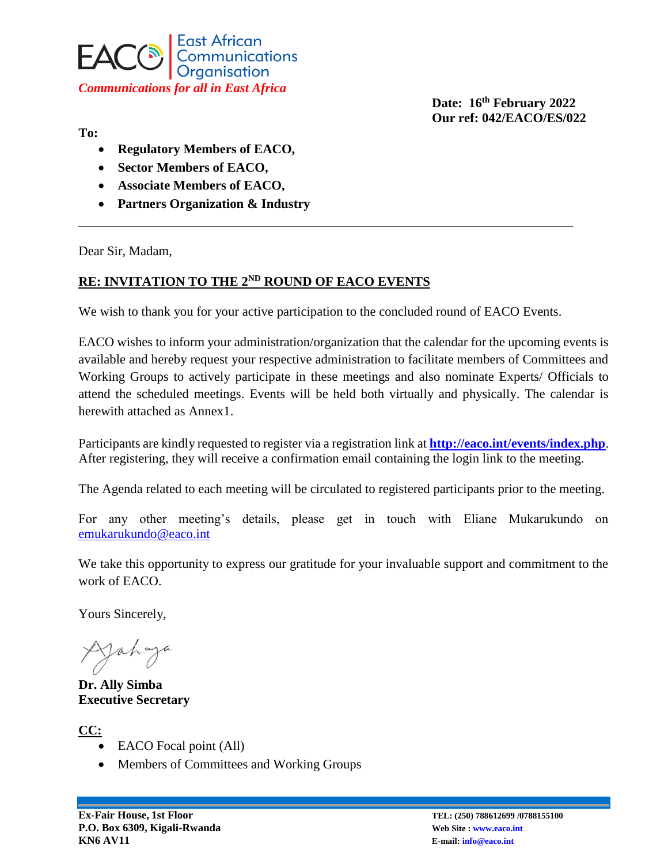

**To:** 

**Regulatory Members of EACO,**

- **•** Sector Members of EACO,
- **Associate Members of EACO,**
- **Partners Organization & Industry**

Dear Sir, Madam,

## **RE: INVITATION TO THE 2ND ROUND OF EACO EVENTS**

We wish to thank you for your active participation to the concluded round of EACO Events.

**\_\_\_\_\_\_\_\_\_\_\_\_\_\_\_\_\_\_\_\_\_\_\_\_\_\_\_\_\_\_\_\_\_\_\_\_\_\_\_\_\_\_\_\_\_\_\_\_\_\_\_\_\_\_\_\_\_\_\_\_\_\_\_\_\_\_\_\_**

EACO wishes to inform your administration/organization that the calendar for the upcoming events is available and hereby request your respective administration to facilitate members of Committees and Working Groups to actively participate in these meetings and also nominate Experts/ Officials to attend the scheduled meetings. Events will be held both virtually and physically. The calendar is herewith attached as Annex1.

Participants are kindly requested to register via a registration link at **<http://eaco.int/events/index.php>**. After registering, they will receive a confirmation email containing the login link to the meeting.

The Agenda related to each meeting will be circulated to registered participants prior to the meeting.

For any other meeting's details, please get in touch with Eliane Mukarukundo on [emukarukundo@eaco.int](mailto:emukarukundo@eaco.int)

We take this opportunity to express our gratitude for your invaluable support and commitment to the work of EACO.

Yours Sincerely,

Jahaya

**Dr. Ally Simba Executive Secretary** 

**CC:**

- EACO Focal point (All)
- Members of Committees and Working Groups

**Date: 16 th February 2022 Our ref: 042/EACO/ES/022**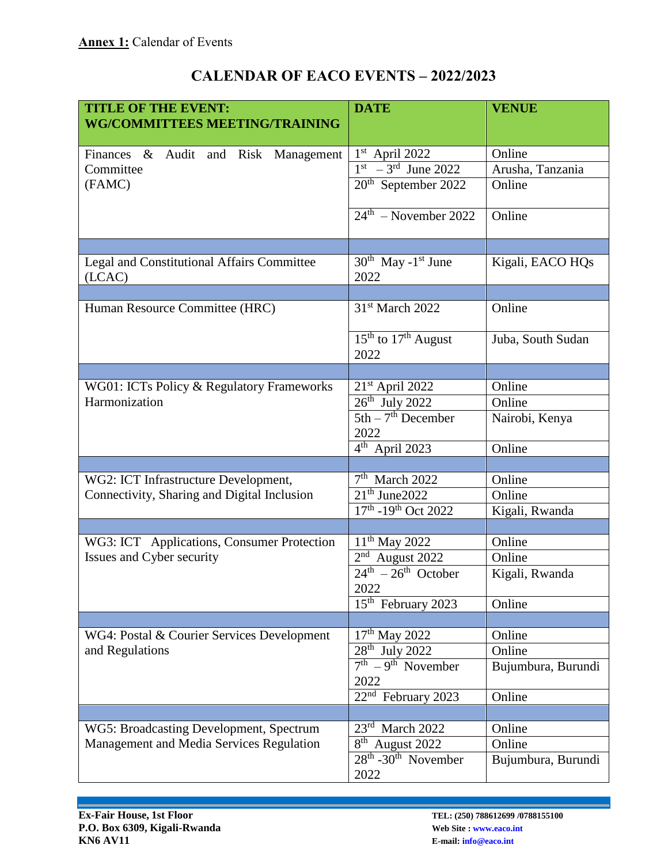| <b>TITLE OF THE EVENT:</b>                           | <b>DATE</b>                                         | <b>VENUE</b>       |
|------------------------------------------------------|-----------------------------------------------------|--------------------|
| <b>WG/COMMITTEES MEETING/TRAINING</b>                |                                                     |                    |
| Finances & Audit and Risk Management                 | $1st$ April 2022                                    | Online             |
| Committee                                            | $1st - 3rd$ June 2022                               | Arusha, Tanzania   |
| (FAMC)                                               | $20th$ September 2022                               | Online             |
|                                                      | $24th$ – November 2022                              | Online             |
|                                                      |                                                     |                    |
| Legal and Constitutional Affairs Committee<br>(LCAC) | $30^{th}$ May -1 <sup>st</sup> June<br>2022         | Kigali, EACO HQs   |
|                                                      |                                                     |                    |
| Human Resource Committee (HRC)                       | 31 <sup>st</sup> March 2022                         | Online             |
|                                                      | $15th$ to $17th$ August<br>2022                     | Juba, South Sudan  |
|                                                      |                                                     |                    |
| WG01: ICTs Policy & Regulatory Frameworks            | $21st$ April 2022                                   | Online             |
| Harmonization                                        | $26th$ July 2022                                    | Online             |
|                                                      | $5th - 7th$ December<br>2022                        | Nairobi, Kenya     |
|                                                      | $4th$ April 2023                                    | Online             |
|                                                      |                                                     |                    |
| WG2: ICT Infrastructure Development,                 | $7th$ March 2022                                    | Online             |
| Connectivity, Sharing and Digital Inclusion          | $21th$ June 2022                                    | Online             |
|                                                      | 17th -19th Oct 2022                                 | Kigali, Rwanda     |
|                                                      |                                                     |                    |
| WG3: ICT Applications, Consumer Protection           | $11^{th}$ May 2022                                  | Online             |
| Issues and Cyber security                            | $2nd$ August 2022                                   | Online             |
|                                                      | $24th - 26th$ October<br>2022                       | Kigali, Rwanda     |
|                                                      | $15th$ February 2023                                | Online             |
|                                                      |                                                     |                    |
| WG4: Postal & Courier Services Development           | $17th$ May 2022                                     | Online             |
| and Regulations                                      | $\overline{28^{th}}$ July 2022                      | Online             |
|                                                      | $7th - 9th$ November<br>2022                        | Bujumbura, Burundi |
|                                                      | $22nd$ February 2023                                | Online             |
|                                                      |                                                     |                    |
| WG5: Broadcasting Development, Spectrum              | $23rd$ March 2022                                   | Online             |
| Management and Media Services Regulation             | $\overline{8^{th}}$ August 2022                     | Online             |
|                                                      | 28 <sup>th</sup> -30 <sup>th</sup> November<br>2022 | Bujumbura, Burundi |

## **CALENDAR OF EACO EVENTS – 2022/2023**

\_\_\_